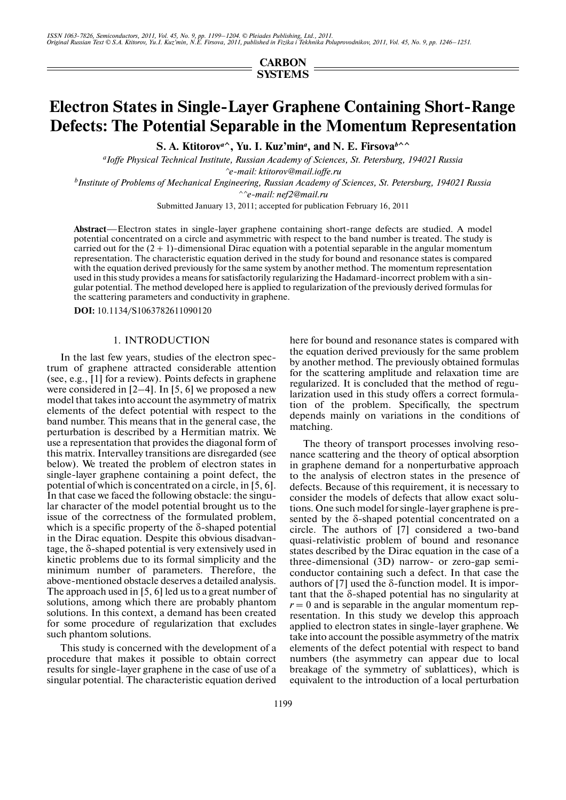**CARBON SYSTEMS**

# **Electron States in Single-Layer Graphene Containing Short-Range Defects: The Potential Separable in the Momentum Representation**

S. A. Ktitorov<sup>a</sup><sup>^</sup>, Yu. I. Kuz'min<sup>a</sup>, and N. E. Firsova<sup>*b*</sup><sup>^</sup>

*a Ioffe Physical Technical Institute, Russian Academy of Sciences, St. Petersburg, 194021 Russia ^e-mail: ktitorov@mail.ioffe.ru*

*b Institute of Problems of Mechanical Engineering, Russian Academy of Sciences, St. Petersburg, 194021 Russia*

*^^e-mail: nef2@mail.ru*

Submitted January 13, 2011; accepted for publication February 16, 2011

**Abstract**—Electron states in single-layer graphene containing short-range defects are studied. A model potential concentrated on a circle and asymmetric with respect to the band number is treated. The study is carried out for the  $(2 + 1)$ -dimensional Dirac equation with a potential separable in the angular momentum representation. The characteristic equation derived in the study for bound and resonance states is compared with the equation derived previously for the same system by another method. The momentum representation used in this study provides a means for satisfactorily regularizing the Hadamard-incorrect problem with a sin gular potential. The method developed here is applied to regularization of the previously derived formulas for the scattering parameters and conductivity in graphene.

**DOI:** 10.1134/S1063782611090120

#### 1. INTRODUCTION

In the last few years, studies of the electron spec trum of graphene attracted considerable attention (see, e.g., [1] for a review). Points defects in graphene were considered in  $[2-4]$ . In [5, 6] we proposed a new model that takes into account the asymmetry of matrix elements of the defect potential with respect to the band number. This means that in the general case, the perturbation is described by a Hermitian matrix. We use a representation that provides the diagonal form of this matrix. Intervalley transitions are disregarded (see below). We treated the problem of electron states in single-layer graphene containing a point defect, the potential of which is concentrated on a circle, in [5, 6]. In that case we faced the following obstacle: the singu lar character of the model potential brought us to the issue of the correctness of the formulated problem, which is a specific property of the δ-shaped potential in the Dirac equation. Despite this obvious disadvan tage, the δ-shaped potential is very extensively used in kinetic problems due to its formal simplicity and the minimum number of parameters. Therefore, the above-mentioned obstacle deserves a detailed analysis. The approach used in [5, 6] led us to a great number of solutions, among which there are probably phantom solutions. In this context, a demand has been created for some procedure of regularization that excludes such phantom solutions.

This study is concerned with the development of a procedure that makes it possible to obtain correct results for single-layer graphene in the case of use of a singular potential. The characteristic equation derived here for bound and resonance states is compared with the equation derived previously for the same problem by another method. The previously obtained formulas for the scattering amplitude and relaxation time are regularized. It is concluded that the method of regu larization used in this study offers a correct formula tion of the problem. Specifically, the spectrum depends mainly on variations in the conditions of matching.

The theory of transport processes involving reso nance scattering and the theory of optical absorption in graphene demand for a nonperturbative approach to the analysis of electron states in the presence of defects. Because of this requirement, it is necessary to consider the models of defects that allow exact solu tions. One such model for single-layer graphene is pre sented by the δ-shaped potential concentrated on a circle. The authors of [7] considered a two-band quasi-relativistic problem of bound and resonance states described by the Dirac equation in the case of a three-dimensional (3D) narrow- or zero-gap semi conductor containing such a defect. In that case the authors of [7] used the δ-function model. It is impor tant that the δ-shaped potential has no singularity at  $r = 0$  and is separable in the angular momentum representation. In this study we develop this approach applied to electron states in single-layer graphene. We take into account the possible asymmetry of the matrix elements of the defect potential with respect to band numbers (the asymmetry can appear due to local breakage of the symmetry of sublattices), which is equivalent to the introduction of a local perturbation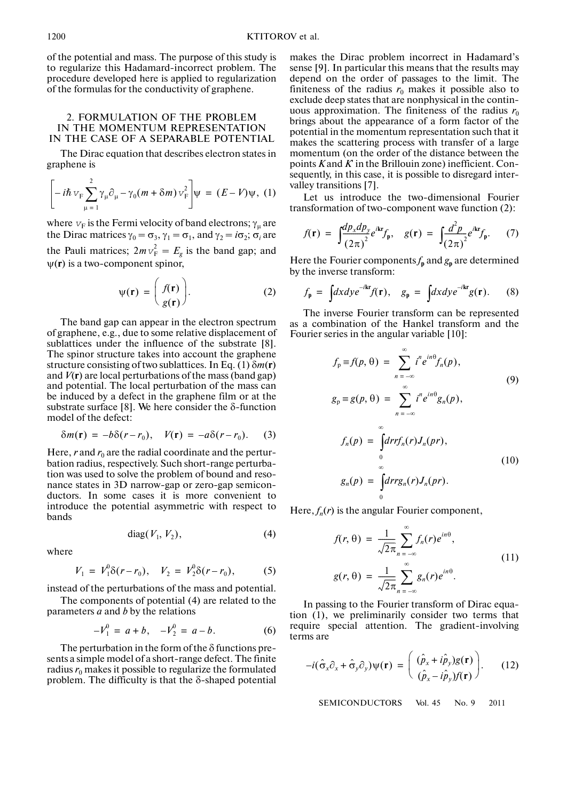of the potential and mass. The purpose of this study is to regularize this Hadamard-incorrect problem. The procedure developed here is applied to regularization of the formulas for the conductivity of graphene.

## 2. FORMULATION OF THE PROBLEM IN THE MOMENTUM REPRESENTATION IN THE CASE OF A SEPARABLE POTENTIAL

The Dirac equation that describes electron states in graphene is

$$
\left[-i\hbar v_{\rm F}\sum_{\mu=1}^2\gamma_\mu\partial_\mu-\gamma_0(m+\delta m)\,v_{\rm F}^2\right]\psi\ =\ (E-V)\psi,\ (1)
$$

where  $v_F$  is the Fermi velocity of band electrons;  $\gamma_\mu$  are the Dirac matrices  $\gamma_0 = \sigma_3$ ,  $\gamma_1 = \sigma_1$ , and  $\gamma_2 = i\sigma_2$ ;  $\sigma_i$  are the Pauli matrices;  $2m v_F^2 = E_g$  is the band gap; and ψ(**r**) is a two-component spinor,

$$
\psi(\mathbf{r}) = \begin{pmatrix} f(\mathbf{r}) \\ g(\mathbf{r}) \end{pmatrix}.
$$
 (2)

The band gap can appear in the electron spectrum of graphene, e.g., due to some relative displacement of sublattices under the influence of the substrate [8]. The spinor structure takes into account the graphene structure consisting of two sublattices. In Eq. (1) δ*m*(**r**) and  $V(\mathbf{r})$  are local perturbations of the mass (band gap) and potential. The local perturbation of the mass can be induced by a defect in the graphene film or at the substrate surface [8]. We here consider the δ-function model of the defect:

$$
\delta m(\mathbf{r}) = -b\delta(r - r_0), \quad V(\mathbf{r}) = -a\delta(r - r_0). \tag{3}
$$

Here,  $r$  and  $r_0$  are the radial coordinate and the perturbation radius, respectively. Such short-range perturba tion was used to solve the problem of bound and reso nance states in 3D narrow-gap or zero-gap semicon ductors. In some cases it is more convenient to introduce the potential asymmetric with respect to bands

$$
diag(V_1, V_2), \tag{4}
$$

where

$$
V_1 = V_1^0 \delta(r - r_0), \quad V_2 = V_2^0 \delta(r - r_0), \tag{5}
$$

instead of the perturbations of the mass and potential.

The components of potential (4) are related to the parameters *a* and *b* by the relations

$$
-V_1^0 = a + b, \quad -V_2^0 = a - b. \tag{6}
$$

The perturbation in the form of the  $\delta$  functions presents a simple model of a short-range defect. The finite radius  $r_0$  makes it possible to regularize the formulated problem. The difficulty is that the δ-shaped potential

makes the Dirac problem incorrect in Hadamard's sense [9]. In particular this means that the results may depend on the order of passages to the limit. The finiteness of the radius  $r_0$  makes it possible also to exclude deep states that are nonphysical in the contin uous approximation. The finiteness of the radius  $r_0$ brings about the appearance of a form factor of the potential in the momentum representation such that it makes the scattering process with transfer of a large momentum (on the order of the distance between the points *K* and *K*' in the Brillouin zone) inefficient. Con sequently, in this case, it is possible to disregard inter valley transitions [7].

Let us introduce the two-dimensional Fourier transformation of two-component wave function (2):

$$
f(\mathbf{r}) = \int \frac{dp_x dp_y}{(2\pi)^2} e^{i\mathbf{k}\cdot\mathbf{r}} f_{\mathbf{p}}, \quad g(\mathbf{r}) = \int \frac{d^2p}{(2\pi)^2} e^{i\mathbf{k}\cdot\mathbf{r}} f_{\mathbf{p}}.
$$
 (7)

Here the Fourier components  $f_{\bf p}$  and  $g_{\bf p}$  are determined by the inverse transform:

$$
f_{\mathbf{p}} = \int dx dy e^{-i\mathbf{k}\mathbf{r}} f(\mathbf{r}), \quad g_{\mathbf{p}} = \int dx dy e^{-i\mathbf{k}\mathbf{r}} g(\mathbf{r}). \tag{8}
$$

The inverse Fourier transform can be represented as a combination of the Hankel transform and the Fourier series in the angular variable [10]:

$$
f_{p} \equiv f(p, \theta) = \sum_{n = -\infty}^{\infty} i^{n} e^{in\theta} f_{n}(p),
$$
  
\n
$$
g_{p} \equiv g(p, \theta) = \sum_{n = -\infty}^{\infty} i^{n} e^{in\theta} g_{n}(p),
$$
  
\n
$$
f_{n}(p) = \int_{0}^{\infty} dr r f_{n}(r) J_{n}(p r),
$$
  
\n
$$
g_{n}(p) = \int_{0}^{\infty} dr r g_{n}(r) J_{n}(p r).
$$
  
\n(10)

Here,  $f_n(r)$  is the angular Fourier component,

 $\Omega$ 

$$
f(r, \theta) = \frac{1}{\sqrt{2\pi}} \sum_{n = -\infty}^{\infty} f_n(r) e^{in\theta},
$$
  

$$
g(r, \theta) = \frac{1}{\sqrt{2\pi}} \sum_{n = -\infty}^{\infty} g_n(r) e^{in\theta}.
$$
 (11)

In passing to the Fourier transform of Dirac equa tion (1), we preliminarily consider two terms that require special attention. The gradient-involving terms are

$$
-i(\hat{\sigma}_x \partial_x + \hat{\sigma}_y \partial_y)\psi(\mathbf{r}) = \begin{pmatrix} (\hat{p}_x + i\hat{p}_y)g(\mathbf{r}) \\ (\hat{p}_x - i\hat{p}_y)f(\mathbf{r}) \end{pmatrix}.
$$
 (12)

SEMICONDUCTORS Vol. 45 No. 9 2011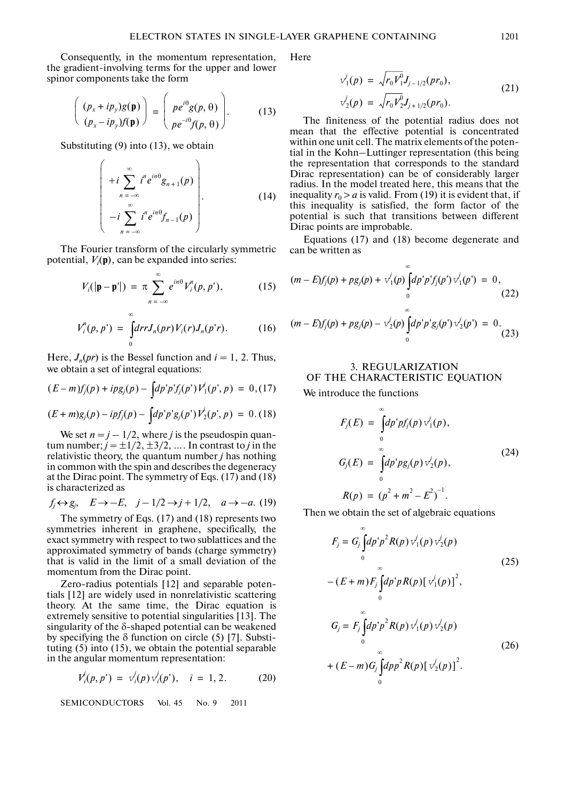Consequently, in the momentum representation, the gradient-involving terms for the upper and lower spinor components take the form

$$
\begin{pmatrix}\n(p_x + ip_y)g(\mathbf{p}) \\
(p_x - ip_y)f(\mathbf{p})\n\end{pmatrix} = \begin{pmatrix}\npe^{i\theta}g(p, \theta) \\
pe^{-i\theta}f(p, \theta)\n\end{pmatrix}.
$$
\n(13)

Substituting (9) into (13), we obtain

$$
\left(\begin{array}{c}\n+ i \sum_{n=-\infty}^{\infty} i^n e^{in\theta} g_{n+1}(p) \\
- i \sum_{n=-\infty}^{\infty} i^n e^{in\theta} f_{n-1}(p)\n\end{array}\right).
$$
\n(14)

The Fourier transform of the circularly symmetric potential,  $V_i(\mathbf{p})$ , can be expanded into series:

$$
V_i(|\mathbf{p}-\mathbf{p}'|) = \pi \sum_{n=-\infty}^{\infty} e^{in\theta} V_i^n(p, p'), \qquad (15)
$$

$$
V_i^n(p,p') = \int_0^\infty dr r J_n(pr) V_i(r) J_n(p'r). \tag{16}
$$

Here,  $J_n(pr)$  is the Bessel function and  $i = 1, 2$ . Thus, we obtain a set of integral equations:

$$
(E-m)f_j(p) + ipg_j(p) - \int dp' p' f_j(p') V'_1(p',p) = 0, (17)
$$

$$
(E+m)g_j(p) - ipf_j(p) - \int dp' p'g_j(p')V'_2(p',p) = 0. (18)
$$

We set  $n = j - 1/2$ , where *j* is the pseudospin quantum number;  $j = \pm 1/2, \pm 3/2, \ldots$  In contrast to *j* in the relativistic theory, the quantum number *j* has nothing in common with the spin and describes the degeneracy at the Dirac point. The symmetry of Eqs. (17) and (18) is characterized as

$$
f_j \leftrightarrow g_j
$$
,  $E \rightarrow -E$ ,  $j - 1/2 \rightarrow j + 1/2$ ,  $a \rightarrow -a$ . (19)

The symmetry of Eqs. (17) and (18) represents two symmetries inherent in graphene, specifically, the exact symmetry with respect to two sublattices and the approximated symmetry of bands (charge symmetry) that is valid in the limit of a small deviation of the momentum from the Dirac point.

Zero-radius potentials [12] and separable poten tials [12] are widely used in nonrelativistic scattering theory. At the same time, the Dirac equation is extremely sensitive to potential singularities [13]. The singularity of the δ-shaped potential can be weakened by specifying the  $\delta$  function on circle (5) [7]. Substituting (5) into (15), we obtain the potential separable in the angular momentum representation:

$$
V'_{i}(p, p') = v'_{i}(p) v'_{i}(p'), \quad i = 1, 2. \tag{20}
$$

SEMICONDUCTORS Vol. 45 No. 9 2011

Here

$$
\begin{aligned}\n\mathbf{v}_1'(p) &= \sqrt{r_0 V_1^0} J_{j-1/2}(pr_0), \\
\mathbf{v}_2'(p) &= \sqrt{r_0 V_2^0} J_{j+1/2}(pr_0).\n\end{aligned} \tag{21}
$$

The finiteness of the potential radius does not mean that the effective potential is concentrated within one unit cell. The matrix elements of the poten tial in the Kohn–Luttinger representation (this being the representation that corresponds to the standard Dirac representation) can be of considerably larger radius. In the model treated here, this means that the inequality  $r_0 > a$  is valid. From (19) it is evident that, if this inequality is satisfied, the form factor of the potential is such that transitions between different Dirac points are improbable.

Equations (17) and (18) become degenerate and can be written as

$$
(m - E)f_j(p) + pg_j(p) + v_1^j(p) \int_0^\infty dp' p' f_j(p') v_1^j(p') = 0,
$$
\n
$$
(m - E)f_j(p) + pg_j(p) - v_2^j(p) \int_0^\infty dp' p' g_j(p') v_2^j(p') = 0.
$$
\n(23)

 $\overline{0}$ 

# 3. REGULARIZATION OF THE CHARACTERISTIC EQUATION

We introduce the functions

$$
F_j(E) = \int_0^\infty dp' p f_j(p) v_1^j(p),
$$
  
\n
$$
G_j(E) = \int_0^\infty dp' p g_j(p) v_2^j(p),
$$
  
\n
$$
R(p) = (p^2 + m^2 - E^2)^{-1}.
$$
\n(24)

Then we obtain the set of algebraic equations

$$
F_j = G_j \int_0^{\infty} dp' p^2 R(p) v_1'(p) v_2'(p)
$$
  
\n
$$
- (E + m) F_j \int_0^{\infty} dp' p R(p) [v_1'(p)]^2,
$$
  
\n
$$
G_j = F_j \int_0^{\infty} dp' p^2 R(p) v_1'(p) v_2'(p)
$$
  
\n
$$
+ (E - m) G_j \int_0^{\infty} dp p^2 R(p) [v_2'(p)]^2.
$$
\n(26)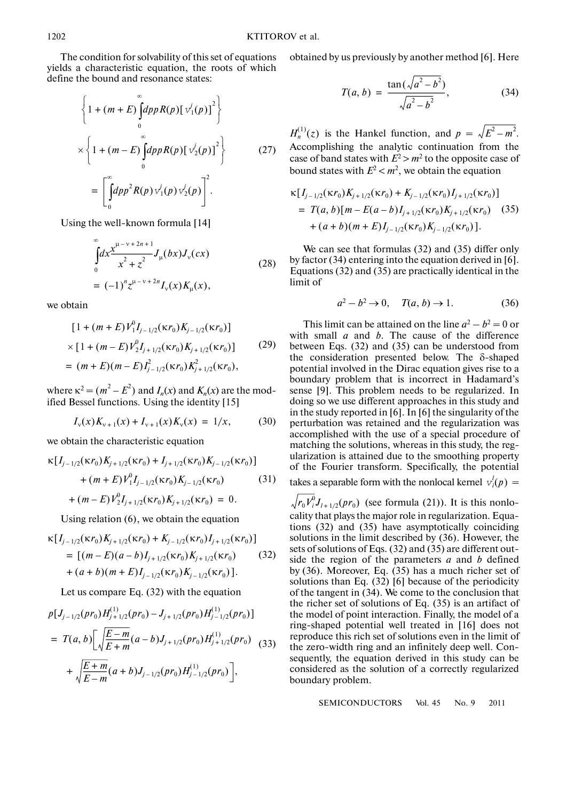The condition for solvability of this set of equations yields a characteristic equation, the roots of which define the bound and resonance states:

$$
\left\{1 + (m+E)\int_{0}^{\infty}dp p R(p) [\overline{v}'_1(p)]^2\right\}
$$
  
 
$$
\times \left\{1 + (m-E)\int_{0}^{\infty}dp p R(p) [\overline{v}'_2(p)]^2\right\}
$$
 (27)  

$$
= \left[\int_{0}^{\infty}dp p^2 R(p) \overline{v}'_1(p) \overline{v}'_2(p)\right]^2.
$$

Using the well-known formula [14]

$$
\int_{0}^{\infty} dx \frac{x^{\mu-\nu+2n+1}}{x^2+z^2} J_{\mu}(bx) J_{\nu}(cx)
$$
\n
$$
= (-1)^n z^{\mu-\nu+2n} I_{\nu}(x) K_{\mu}(x),
$$
\n(28)

we obtain

$$
[1 + (m + E)V_1^0 I_{j-1/2}(\kappa r_0) K_{j-1/2}(\kappa r_0)]
$$
  
× [1 + (m - E)V\_2^0 I\_{j+1/2}(\kappa r\_0) K\_{j+1/2}(\kappa r\_0)] (29)  
= (m + E)(m - E)I\_{j-1/2}^2(\kappa r\_0) K\_{j+1/2}^2(\kappa r\_0),

where  $\kappa^2 = (m^2 - E^2)$  and  $I_n(x)$  and  $K_n(x)$  are the modified Bessel functions. Using the identity [15]

$$
I_{v}(x)K_{v+1}(x) + I_{v+1}(x)K_{v}(x) = 1/x, \qquad (30)
$$

we obtain the characteristic equation

$$
\kappa [I_{j-1/2}(\kappa r_0) K_{j+1/2}(\kappa r_0) + I_{j+1/2}(\kappa r_0) K_{j-1/2}(\kappa r_0)]
$$
  
+ 
$$
(m + E) V_1^0 I_{j-1/2}(\kappa r_0) K_{j-1/2}(\kappa r_0)
$$
(31)  
+ 
$$
(m - E) V_2^0 I_{j+1/2}(\kappa r_0) K_{j+1/2}(\kappa r_0) = 0.
$$

Using relation (6), we obtain the equation

$$
\kappa [I_{j-1/2}(\kappa r_0) K_{j+1/2}(\kappa r_0) + K_{j-1/2}(\kappa r_0) I_{j+1/2}(\kappa r_0)]
$$
  
= [(m - E)(a - b)I\_{j+1/2}(\kappa r\_0) K\_{j+1/2}(\kappa r\_0) (32)  
+ (a + b)(m + E)I\_{j-1/2}(\kappa r\_0) K\_{j-1/2}(\kappa r\_0)].

Let us compare Eq. (32) with the equation

$$
p[J_{j-1/2}(pr_0)H_{j+1/2}^{(1)}(pr_0) - J_{j+1/2}(pr_0)H_{j-1/2}^{(1)}(pr_0)]
$$
  
=  $T(a, b)$  $\bigg[\sqrt{\frac{E-m}{E+m}}(a-b)J_{j+1/2}(pr_0)H_{j+1/2}^{(1)}(pr_0)$  (33)  
+  $\sqrt{\frac{E+m}{E-m}}(a+b)J_{j-1/2}(pr_0)H_{j-1/2}^{(1)}(pr_0)\bigg],$ 

obtained by us previously by another method [6]. Here

$$
T(a, b) = \frac{\tan(\sqrt{a^2 - b^2})}{\sqrt{a^2 - b^2}},
$$
 (34)

 $H_n^{(1)}(z)$  is the Hankel function, and  $p = \sqrt{E^2 - m^2}$ . Accomplishing the analytic continuation from the case of band states with  $E^2 > m^2$  to the opposite case of bound states with  $E^2 < m^2$ , we obtain the equation

$$
\kappa [I_{j-1/2}(\kappa r_0) K_{j+1/2}(\kappa r_0) + K_{j-1/2}(\kappa r_0) I_{j+1/2}(\kappa r_0)]
$$
  
=  $T(a, b) [m - E(a - b) I_{j+1/2}(\kappa r_0) K_{j+1/2}(\kappa r_0)$  (35)  
+  $(a + b)(m + E) I_{j-1/2}(\kappa r_0) K_{j-1/2}(\kappa r_0)].$ 

We can see that formulas (32) and (35) differ only by factor (34) entering into the equation derived in [6]. Equations (32) and (35) are practically identical in the limit of

$$
a^2 - b^2 \to 0, \quad T(a, b) \to 1. \tag{36}
$$

This limit can be attained on the line  $a^2 - b^2 = 0$  or with small *a* and *b*. The cause of the difference between Eqs. (32) and (35) can be understood from the consideration presented below. The δ-shaped potential involved in the Dirac equation gives rise to a boundary problem that is incorrect in Hadamard's sense [9]. This problem needs to be regularized. In doing so we use different approaches in this study and in the study reported in [6]. In [6] the singularity of the perturbation was retained and the regularization was accomplished with the use of a special procedure of matching the solutions, whereas in this study, the reg ularization is attained due to the smoothing property of the Fourier transform. Specifically, the potential

takes a separable form with the nonlocal kernel  $v_i^l(p) =$ 

 $r_0 V_i^0 J_{l+1/2}(pr_0)$  (see formula (21)). It is this nonlocality that plays the major role in regularization. Equa tions (32) and (35) have asymptotically coinciding solutions in the limit described by (36). However, the sets of solutions of Eqs. (32) and (35) are different out side the region of the parameters *a* and *b* defined by (36). Moreover, Eq. (35) has a much richer set of solutions than Eq. (32) [6] because of the periodicity of the tangent in (34). We come to the conclusion that the richer set of solutions of Eq. (35) is an artifact of the model of point interaction. Finally, the model of a ring-shaped potential well treated in [16] does not reproduce this rich set of solutions even in the limit of the zero-width ring and an infinitely deep well. Con sequently, the equation derived in this study can be considered as the solution of a correctly regularized boundary problem.

SEMICONDUCTORS Vol. 45 No. 9 2011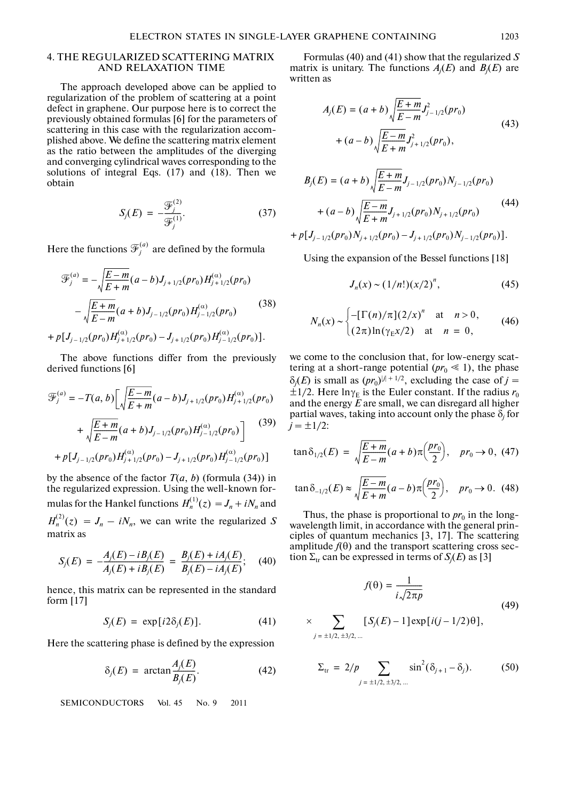## 4. THE REGULARIZED SCATTERING MATRIX AND RELAXATION TIME

The approach developed above can be applied to regularization of the problem of scattering at a point defect in graphene. Our purpose here is to correct the previously obtained formulas [6] for the parameters of scattering in this case with the regularization accom plished above. We define the scattering matrix element as the ratio between the amplitudes of the diverging and converging cylindrical waves corresponding to the solutions of integral Eqs. (17) and (18). Then we obtain

$$
S_j(E) = -\frac{\mathcal{F}_j^{(2)}}{\mathcal{F}_j^{(1)}}.
$$
\n(37)

Here the functions  $\mathcal{F}_j^{(a)}$  are defined by the formula  $(a)$ 

$$
\mathcal{F}_{j}^{(a)} = -\sqrt{\frac{E-m}{E+m}}(a-b)J_{j+1/2}(pr_{0})H_{j+1/2}^{(\alpha)}(pr_{0})
$$

$$
-\sqrt{\frac{E+m}{E-m}}(a+b)J_{j-1/2}(pr_{0})H_{j-1/2}^{(\alpha)}(pr_{0})
$$
(38)
$$
+p[J_{j-1/2}(pr_{0})H_{j+1/2}^{(\alpha)}(pr_{0})-J_{j+1/2}(pr_{0})H_{j-1/2}^{(\alpha)}(pr_{0})].
$$

The above functions differ from the previously derived functions [6]

$$
\mathcal{F}_{j}^{(a)} = -T(a, b) \left[ \sqrt{\frac{E - m}{E + m}} (a - b) J_{j+1/2} (pr_0) H_{j+1/2}^{(\alpha)} (pr_0) \right. \n+ \sqrt{\frac{E + m}{E - m}} (a + b) J_{j-1/2} (pr_0) H_{j-1/2}^{(\alpha)} (pr_0) \left. \right] \qquad (39)
$$
\n
$$
+ p \left[ J_{j-1/2} (pr_0) H_{j+1/2}^{(\alpha)} (pr_0) - J_{j+1/2} (pr_0) H_{j-1/2}^{(\alpha)} (pr_0) \right]
$$

by the absence of the factor  $T(a, b)$  (formula (34)) in the regularized expression. Using the well-known for mulas for the Hankel functions  $H_n^{(1)}(z) = J_n + iN_n$  and  $H_n^{(2)}(z) = J_n - iN_n$ , we can write the regularized *S* matrix as

$$
S_j(E) = -\frac{A_j(E) - iB_j(E)}{A_j(E) + iB_j(E)} = \frac{B_j(E) + iA_j(E)}{B_j(E) - iA_j(E)};
$$
 (40)

hence, this matrix can be represented in the standard form [17]

$$
S_j(E) = \exp[i2\delta_j(E)]. \tag{41}
$$

Here the scattering phase is defined by the expression

$$
\delta_j(E) = \arctan \frac{A_j(E)}{B_j(E)}.
$$
 (42)

SEMICONDUCTORS Vol. 45 No. 9 2011

Formulas (40) and (41) show that the regularized *S* matrix is unitary. The functions  $A_j(E)$  and  $B_j(E)$  are written as

$$
A_j(E) = (a+b)\sqrt{\frac{E+m}{E-m}}J_{j-1/2}^2(pr_0)
$$
  
+  $(a-b)\sqrt{\frac{E-m}{E+m}}J_{j+1/2}^2(pr_0),$  (43)

$$
B_j(E) = (a+b)\sqrt{\frac{E+m}{E-m}}J_{j-1/2}(pr_0)N_{j-1/2}(pr_0)
$$
  
+  $(a-b)\sqrt{\frac{E-m}{E+m}}J_{j+1/2}(pr_0)N_{j+1/2}(pr_0)$   
+  $p[J_{j-1/2}(pr_0)N_{j+1/2}(pr_0) - J_{j+1/2}(pr_0)N_{j-1/2}(pr_0)].$  (44)

Using the expansion of the Bessel functions [18]

$$
J_n(x) \sim (1/n!)(x/2)^n, \tag{45}
$$

$$
N_n(x) \sim \begin{cases} -[\Gamma(n)/\pi] (2/x)^n & \text{at } n > 0, \\ (2\pi) \ln(\gamma_{E} x/2) & \text{at } n = 0, \end{cases}
$$
 (46)

we come to the conclusion that, for low-energy scat tering at a short-range potential  $(pr_0 \le 1)$ , the phase  $\delta_j(E)$  is small as  $(pr_0)^{|j|+1/2}$ , excluding the case of *j* =  $\pm 1/2$ . Here  $\ln \gamma_E$  is the Euler constant. If the radius  $r_0$ and the energy *E* are small, we can disregard all higher partial waves, taking into account only the phase  $\delta_j$  for  $j = \pm 1/2$ :

$$
\tan \delta_{1/2}(E) = \sqrt{\frac{E+m}{E-m}}(a+b)\pi\left(\frac{pr_0}{2}\right), \quad pr_0 \to 0, \text{ (47)}
$$

$$
\tan \delta_{-1/2}(E) \approx \sqrt{\frac{E - m}{E + m}} (a - b) \pi \left(\frac{pr_0}{2}\right), \quad pr_0 \to 0. \tag{48}
$$

Thus, the phase is proportional to  $pr_0$  in the longwavelength limit, in accordance with the general prin ciples of quantum mechanics [3, 17]. The scattering amplitude  $f(\theta)$  and the transport scattering cross section  $\Sigma_{tr}$  can be expressed in terms of  $S_j(E)$  as [3]

$$
f(\theta) = \frac{1}{i\sqrt{2\pi p}}
$$
  
\$\times \sum\_{j = \pm 1/2, \pm 3/2, ...} [S\_j(E) - 1] \exp[i(j - 1/2)\theta], \qquad (49)\$

$$
\Sigma_{\text{tr}} = 2/p \sum_{j = \pm 1/2, \pm 3/2, \dots} \sin^2(\delta_{j+1} - \delta_j). \tag{50}
$$